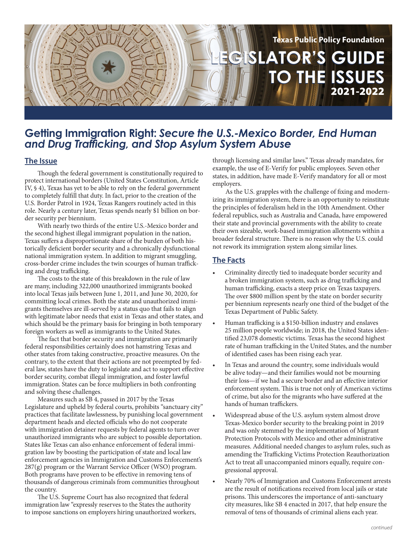

# **Getting Immigration Right:** *Secure the U.S.-Mexico Border, End Human and Drug Trafficking, and Stop Asylum System Abuse*

#### **The Issue**

Though the federal government is constitutionally required to protect international borders (United States Constitution, Article IV, § 4), Texas has yet to be able to rely on the federal government to completely fulfill that duty. In fact, prior to the creation of the U.S. Border Patrol in 1924, Texas Rangers routinely acted in this role. Nearly a century later, Texas spends nearly \$1 billion on border security per biennium.

With nearly two thirds of the entire U.S.-Mexico border and the second highest illegal immigrant population in the nation, Texas suffers a disproportionate share of the burden of both historically deficient border security and a chronically dysfunctional national immigration system. In addition to migrant smuggling, cross-border crime includes the twin scourges of human trafficking and drug trafficking.

The costs to the state of this breakdown in the rule of law are many, including 322,000 unauthorized immigrants booked into local Texas jails between June 1, 2011, and June 30, 2020, for committing local crimes. Both the state and unauthorized immigrants themselves are ill-served by a status quo that fails to align with legitimate labor needs that exist in Texas and other states, and which should be the primary basis for bringing in both temporary foreign workers as well as immigrants to the United States.

The fact that border security and immigration are primarily federal responsibilities certainly does not hamstring Texas and other states from taking constructive, proactive measures. On the contrary, to the extent that their actions are not preempted by federal law, states have the duty to legislate and act to support effective border security, combat illegal immigration, and foster lawful immigration. States can be force multipliers in both confronting and solving these challenges.

Measures such as SB 4, passed in 2017 by the Texas Legislature and upheld by federal courts, prohibits "sanctuary city" practices that facilitate lawlessness, by punishing local government department heads and elected officials who do not cooperate with immigration detainer requests by federal agents to turn over unauthorized immigrants who are subject to possible deportation. States like Texas can also enhance enforcement of federal immigration law by boosting the participation of state and local law enforcement agencies in Immigration and Customs Enforcement's  $287(g)$  program or the Warrant Service Officer (WSO) program. Both programs have proven to be effective in removing tens of thousands of dangerous criminals from communities throughout the country.

The U.S. Supreme Court has also recognized that federal immigration law "expressly reserves to the States the authority to impose sanctions on employers hiring unauthorized workers, through licensing and similar laws." Texas already mandates, for example, the use of E-Verify for public employees. Seven other states, in addition, have made E-Verify mandatory for all or most employers.

As the U.S. grapples with the challenge of fixing and modernizing its immigration system, there is an opportunity to reinstitute the principles of federalism held in the 10th Amendment. Other federal republics, such as Australia and Canada, have empowered their state and provincial governments with the ability to create their own sizeable, work-based immigration allotments within a broader federal structure. There is no reason why the U.S. could not rework its immigration system along similar lines.

## **The Facts**

- Criminality directly tied to inadequate border security and a broken immigration system, such as drug trafficking and human trafficking, exacts a steep price on Texas taxpayers. The over \$800 million spent by the state on border security per biennium represents nearly one third of the budget of the Texas Department of Public Safety.
- Human trafficking is a \$150-billion industry and enslaves 25 million people worldwide; in 2018, the United States identified 23,078 domestic victims. Texas has the second highest rate of human trafficking in the United States, and the number of identified cases has been rising each year.
- In Texas and around the country, some individuals would be alive today—and their families would not be mourning their loss—if we had a secure border and an effective interior enforcement system. This is true not only of American victims of crime, but also for the migrants who have suffered at the hands of human traffickers.
- Widespread abuse of the U.S. asylum system almost drove Texas-Mexico border security to the breaking point in 2019 and was only stemmed by the implementation of Migrant Protection Protocols with Mexico and other administrative measures. Additional needed changes to asylum rules, such as amending the Trafficking Victims Protection Reauthorization Act to treat all unaccompanied minors equally, require congressional approval.
- Nearly 70% of Immigration and Customs Enforcement arrests are the result of notifications received from local jails or state prisons. This underscores the importance of anti-sanctuary city measures, like SB 4 enacted in 2017, that help ensure the removal of tens of thousands of criminal aliens each year.